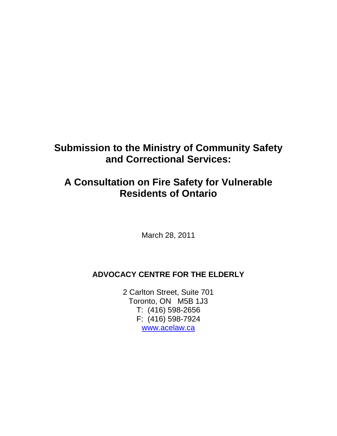# **Submission to the Ministry of Community Safety and Correctional Services:**

# **A Consultation on Fire Safety for Vulnerable Residents of Ontario**

March 28, 2011

## **ADVOCACY CENTRE FOR THE ELDERLY**

2 Carlton Street, Suite 701 Toronto, ON M5B 1J3 T: (416) 598-2656 F: (416) 598-7924 www.acelaw.ca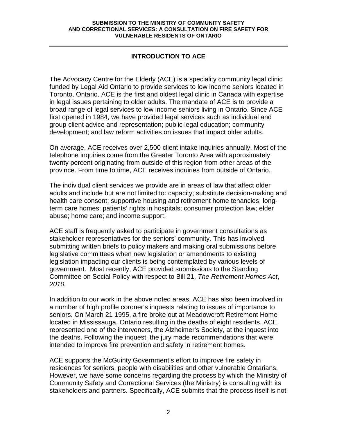## **INTRODUCTION TO ACE**

The Advocacy Centre for the Elderly (ACE) is a speciality community legal clinic funded by Legal Aid Ontario to provide services to low income seniors located in Toronto, Ontario. ACE is the first and oldest legal clinic in Canada with expertise in legal issues pertaining to older adults. The mandate of ACE is to provide a broad range of legal services to low income seniors living in Ontario. Since ACE first opened in 1984, we have provided legal services such as individual and group client advice and representation; public legal education; community development; and law reform activities on issues that impact older adults.

On average, ACE receives over 2,500 client intake inquiries annually. Most of the telephone inquiries come from the Greater Toronto Area with approximately twenty percent originating from outside of this region from other areas of the province. From time to time, ACE receives inquiries from outside of Ontario.

The individual client services we provide are in areas of law that affect older adults and include but are not limited to: capacity; substitute decision-making and health care consent; supportive housing and retirement home tenancies; longterm care homes; patients' rights in hospitals; consumer protection law; elder abuse; home care; and income support.

ACE staff is frequently asked to participate in government consultations as stakeholder representatives for the seniors' community. This has involved submitting written briefs to policy makers and making oral submissions before legislative committees when new legislation or amendments to existing legislation impacting our clients is being contemplated by various levels of government. Most recently, ACE provided submissions to the Standing Committee on Social Policy with respect to Bill 21, The Retirement Homes Act, 2010.

In addition to our work in the above noted areas, ACE has also been involved in a number of high profile coroner's inquests relating to issues of importance to seniors. On March 21 1995, a fire broke out at Meadowcroft Retirement Home located in Mississauga, Ontario resulting in the deaths of eight residents. ACE represented one of the interveners, the Alzheimer's Society, at the inquest into the deaths. Following the inquest, the jury made recommendations that were intended to improve fire prevention and safety in retirement homes.

ACE supports the McGuinty Government's effort to improve fire safety in residences for seniors, people with disabilities and other vulnerable Ontarians. However, we have some concerns regarding the process by which the Ministry of Community Safety and Correctional Services (the Ministry) is consulting with its stakeholders and partners. Specifically, ACE submits that the process itself is not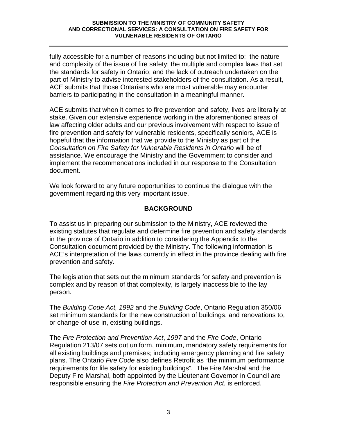fully accessible for a number of reasons including but not limited to: the nature and complexity of the issue of fire safety; the multiple and complex laws that set the standards for safety in Ontario; and the lack of outreach undertaken on the part of Ministry to advise interested stakeholders of the consultation. As a result, ACE submits that those Ontarians who are most vulnerable may encounter barriers to participating in the consultation in a meaningful manner.

ACE submits that when it comes to fire prevention and safety, lives are literally at stake. Given our extensive experience working in the aforementioned areas of law affecting older adults and our previous involvement with respect to issue of fire prevention and safety for vulnerable residents, specifically seniors, ACE is hopeful that the information that we provide to the Ministry as part of the Consultation on Fire Safety for Vulnerable Residents in Ontario will be of assistance. We encourage the Ministry and the Government to consider and implement the recommendations included in our response to the Consultation document.

We look forward to any future opportunities to continue the dialogue with the government regarding this very important issue.

## **BACKGROUND**

To assist us in preparing our submission to the Ministry, ACE reviewed the existing statutes that regulate and determine fire prevention and safety standards in the province of Ontario in addition to considering the Appendix to the Consultation document provided by the Ministry. The following information is ACE's interpretation of the laws currently in effect in the province dealing with fire prevention and safety.

The legislation that sets out the minimum standards for safety and prevention is complex and by reason of that complexity, is largely inaccessible to the lay person.

The Building Code Act, 1992 and the Building Code, Ontario Regulation 350/06 set minimum standards for the new construction of buildings, and renovations to, or change-of-use in, existing buildings.

The Fire Protection and Prevention Act, 1997 and the Fire Code, Ontario Regulation 213/07 sets out uniform, minimum, mandatory safety requirements for all existing buildings and premises; including emergency planning and fire safety plans. The Ontario Fire Code also defines Retrofit as "the minimum performance requirements for life safety for existing buildings". The Fire Marshal and the Deputy Fire Marshal, both appointed by the Lieutenant Governor in Council are responsible ensuring the Fire Protection and Prevention Act, is enforced.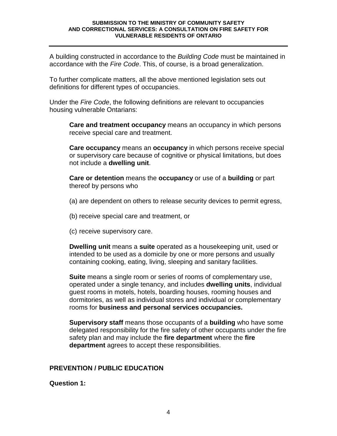A building constructed in accordance to the *Building Code* must be maintained in accordance with the *Fire Code*. This, of course, is a broad generalization.

To further complicate matters, all the above mentioned legislation sets out definitions for different types of occupancies.

Under the Fire Code, the following definitions are relevant to occupancies housing vulnerable Ontarians:

**Care and treatment occupancy** means an occupancy in which persons receive special care and treatment.

**Care occupancy** means an **occupancy** in which persons receive special or supervisory care because of cognitive or physical limitations, but does not include a **dwelling unit**.

**Care or detention** means the **occupancy** or use of a **building** or part thereof by persons who

- (a) are dependent on others to release security devices to permit egress,
- (b) receive special care and treatment, or
- (c) receive supervisory care.

**Dwelling unit** means a **suite** operated as a housekeeping unit, used or intended to be used as a domicile by one or more persons and usually containing cooking, eating, living, sleeping and sanitary facilities.

**Suite** means a single room or series of rooms of complementary use, operated under a single tenancy, and includes **dwelling units**, individual guest rooms in motels, hotels, boarding houses, rooming houses and dormitories, as well as individual stores and individual or complementary rooms for **business and personal services occupancies.** 

**Supervisory staff** means those occupants of a **building** who have some delegated responsibility for the fire safety of other occupants under the fire safety plan and may include the **fire department** where the **fire department** agrees to accept these responsibilities.

## **PREVENTION / PUBLIC EDUCATION**

#### **Question 1:**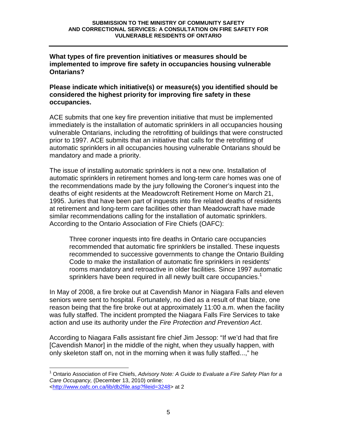**What types of fire prevention initiatives or measures should be implemented to improve fire safety in occupancies housing vulnerable Ontarians?** 

**Please indicate which initiative(s) or measure(s) you identified should be considered the highest priority for improving fire safety in these occupancies.** 

ACE submits that one key fire prevention initiative that must be implemented immediately is the installation of automatic sprinklers in all occupancies housing vulnerable Ontarians, including the retrofitting of buildings that were constructed prior to 1997. ACE submits that an initiative that calls for the retrofitting of automatic sprinklers in all occupancies housing vulnerable Ontarians should be mandatory and made a priority.

The issue of installing automatic sprinklers is not a new one. Installation of automatic sprinklers in retirement homes and long-term care homes was one of the recommendations made by the jury following the Coroner's inquest into the deaths of eight residents at the Meadowcroft Retirement Home on March 21, 1995. Juries that have been part of inquests into fire related deaths of residents at retirement and long-term care facilities other than Meadowcraft have made similar recommendations calling for the installation of automatic sprinklers. According to the Ontario Association of Fire Chiefs (OAFC):

Three coroner inquests into fire deaths in Ontario care occupancies recommended that automatic fire sprinklers be installed. These inquests recommended to successive governments to change the Ontario Building Code to make the installation of automatic fire sprinklers in residents' rooms mandatory and retroactive in older facilities. Since 1997 automatic sprinklers have been required in all newly built care occupancies.<sup>1</sup>

In May of 2008, a fire broke out at Cavendish Manor in Niagara Falls and eleven seniors were sent to hospital. Fortunately, no died as a result of that blaze, one reason being that the fire broke out at approximately 11:00 a.m. when the facility was fully staffed. The incident prompted the Niagara Falls Fire Services to take action and use its authority under the Fire Protection and Prevention Act.

According to Niagara Falls assistant fire chief Jim Jessop: "If we'd had that fire [Cavendish Manor] in the middle of the night, when they usually happen, with only skeleton staff on, not in the morning when it was fully staffed...," he

 $\overline{a}$ 

 $1$  Ontario Association of Fire Chiefs, Advisory Note: A Guide to Evaluate a Fire Safety Plan for a Care Occupancy, (December 13, 2010) online: <http://www.oafc.on.ca/lib/db2file.asp?fileid=3248> at 2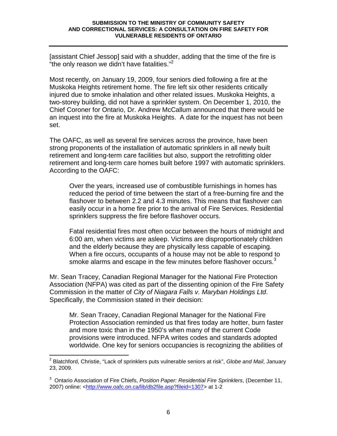[assistant Chief Jessop] said with a shudder, adding that the time of the fire is "the only reason we didn't have fatalities."<sup>2</sup>

Most recently, on January 19, 2009, four seniors died following a fire at the Muskoka Heights retirement home. The fire left six other residents critically injured due to smoke inhalation and other related issues. Muskoka Heights, a two-storey building, did not have a sprinkler system. On December 1, 2010, the Chief Coroner for Ontario, Dr. Andrew McCallum announced that there would be an inquest into the fire at Muskoka Heights. A date for the inquest has not been set.

The OAFC, as well as several fire services across the province, have been strong proponents of the installation of automatic sprinklers in all newly built retirement and long-term care facilities but also, support the retrofitting older retirement and long-term care homes built before 1997 with automatic sprinklers. According to the OAFC:

Over the years, increased use of combustible furnishings in homes has reduced the period of time between the start of a free-burning fire and the flashover to between 2.2 and 4.3 minutes. This means that flashover can easily occur in a home fire prior to the arrival of Fire Services. Residential sprinklers suppress the fire before flashover occurs.

Fatal residential fires most often occur between the hours of midnight and 6:00 am, when victims are asleep. Victims are disproportionately children and the elderly because they are physically less capable of escaping. When a fire occurs, occupants of a house may not be able to respond to smoke alarms and escape in the few minutes before flashover occurs.<sup>3</sup>

Mr. Sean Tracey, Canadian Regional Manager for the National Fire Protection Association (NFPA) was cited as part of the dissenting opinion of the Fire Safety Commission in the matter of City of Niagara Falls v. Maryban Holdings Ltd. Specifically, the Commission stated in their decision:

Mr. Sean Tracey, Canadian Regional Manager for the National Fire Protection Association reminded us that fires today are hotter, burn faster and more toxic than in the 1950's when many of the current Code provisions were introduced. NFPA writes codes and standards adopted worldwide. One key for seniors occupancies is recognizing the abilities of

 2 Blatchford, Christie, "Lack of sprinklers puts vulnerable seniors at risk", Globe and Mail, January 23, 2009.

<sup>&</sup>lt;sup>3</sup> Ontario Association of Fire Chiefs, Position Paper: Residential Fire Sprinklers, (December 11, 2007) online: <http://www.oafc.on.ca/lib/db2file.asp?fileid=1307> at 1-2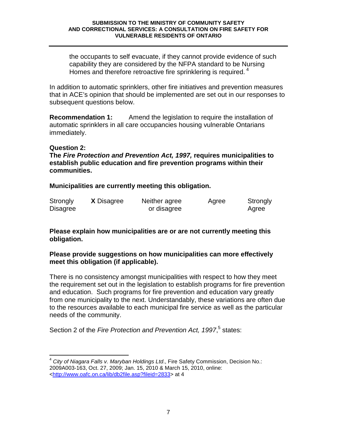the occupants to self evacuate, if they cannot provide evidence of such capability they are considered by the NFPA standard to be Nursing Homes and therefore retroactive fire sprinklering is required.  $4$ 

In addition to automatic sprinklers, other fire initiatives and prevention measures that in ACE's opinion that should be implemented are set out in our responses to subsequent questions below.

**Recommendation 1:** Amend the legislation to require the installation of automatic sprinklers in all care occupancies housing vulnerable Ontarians immediately.

#### **Question 2:**

**The Fire Protection and Prevention Act, 1997, requires municipalities to establish public education and fire prevention programs within their communities.** 

**Municipalities are currently meeting this obligation.** 

| Strongly        | <b>X</b> Disagree | Neither agree | Agree | Strongly |
|-----------------|-------------------|---------------|-------|----------|
| <b>Disagree</b> |                   | or disagree   |       | Agree    |

## **Please explain how municipalities are or are not currently meeting this obligation.**

## **Please provide suggestions on how municipalities can more effectively meet this obligation (if applicable).**

There is no consistency amongst municipalities with respect to how they meet the requirement set out in the legislation to establish programs for fire prevention and education. Such programs for fire prevention and education vary greatly from one municipality to the next. Understandably, these variations are often due to the resources available to each municipal fire service as well as the particular needs of the community.

Section 2 of the Fire Protection and Prevention Act, 1997,<sup>5</sup> states:

 $\overline{\phantom{a}}$  $4$  City of Niagara Falls v. Maryban Holdings Ltd., Fire Safety Commission, Decision No.: 2009A003-163, Oct. 27, 2009; Jan. 15, 2010 & March 15, 2010, online: <http://www.oafc.on.ca/lib/db2file.asp?fileid=2833> at 4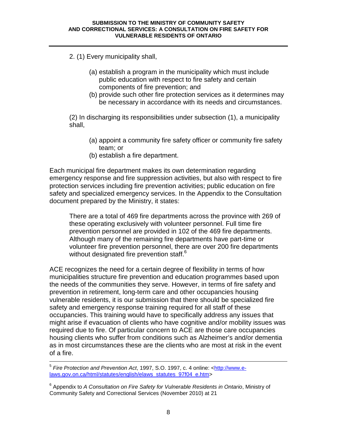2. (1) Every municipality shall,

- (a) establish a program in the municipality which must include public education with respect to fire safety and certain components of fire prevention; and
- (b) provide such other fire protection services as it determines may be necessary in accordance with its needs and circumstances.

(2) In discharging its responsibilities under subsection (1), a municipality shall,

- (a) appoint a community fire safety officer or community fire safety team; or
- (b) establish a fire department.

Each municipal fire department makes its own determination regarding emergency response and fire suppression activities, but also with respect to fire protection services including fire prevention activities; public education on fire safety and specialized emergency services. In the Appendix to the Consultation document prepared by the Ministry, it states:

There are a total of 469 fire departments across the province with 269 of these operating exclusively with volunteer personnel. Full time fire prevention personnel are provided in 102 of the 469 fire departments. Although many of the remaining fire departments have part-time or volunteer fire prevention personnel, there are over 200 fire departments without designated fire prevention staff.<sup>6</sup>

ACE recognizes the need for a certain degree of flexibility in terms of how municipalities structure fire prevention and education programmes based upon the needs of the communities they serve. However, in terms of fire safety and prevention in retirement, long-term care and other occupancies housing vulnerable residents, it is our submission that there should be specialized fire safety and emergency response training required for all staff of these occupancies. This training would have to specifically address any issues that might arise if evacuation of clients who have cognitive and/or mobility issues was required due to fire. Of particular concern to ACE are those care occupancies housing clients who suffer from conditions such as Alzheimer's and/or dementia as in most circumstances these are the clients who are most at risk in the event of a fire.

 5 Fire Protection and Prevention Act, 1997, S.O. 1997, c. 4 online: <http://www.elaws.gov.on.ca/html/statutes/english/elaws\_statutes\_97f04\_e.htm>

<sup>&</sup>lt;sup>6</sup> Appendix to A Consultation on Fire Safety for Vulnerable Residents in Ontario, Ministry of Community Safety and Correctional Services (November 2010) at 21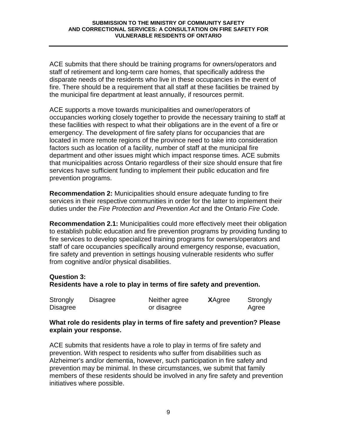ACE submits that there should be training programs for owners/operators and staff of retirement and long-term care homes, that specifically address the disparate needs of the residents who live in these occupancies in the event of fire. There should be a requirement that all staff at these facilities be trained by the municipal fire department at least annually, if resources permit.

ACE supports a move towards municipalities and owner/operators of occupancies working closely together to provide the necessary training to staff at these facilities with respect to what their obligations are in the event of a fire or emergency. The development of fire safety plans for occupancies that are located in more remote regions of the province need to take into consideration factors such as location of a facility, number of staff at the municipal fire department and other issues might which impact response times. ACE submits that municipalities across Ontario regardless of their size should ensure that fire services have sufficient funding to implement their public education and fire prevention programs.

**Recommendation 2:** Municipalities should ensure adequate funding to fire services in their respective communities in order for the latter to implement their duties under the Fire Protection and Prevention Act and the Ontario Fire Code.

**Recommendation 2.1:** Municipalities could more effectively meet their obligation to establish public education and fire prevention programs by providing funding to fire services to develop specialized training programs for owners/operators and staff of care occupancies specifically around emergency response, evacuation, fire safety and prevention in settings housing vulnerable residents who suffer from cognitive and/or physical disabilities.

## **Question 3:**

## **Residents have a role to play in terms of fire safety and prevention.**

| Strongly        | Disagree | Neither agree | <b>X</b> Agree | Strongly |
|-----------------|----------|---------------|----------------|----------|
| <b>Disagree</b> |          | or disagree   |                | Agree    |

#### **What role do residents play in terms of fire safety and prevention? Please explain your response.**

ACE submits that residents have a role to play in terms of fire safety and prevention. With respect to residents who suffer from disabilities such as Alzheimer's and/or dementia, however, such participation in fire safety and prevention may be minimal. In these circumstances, we submit that family members of these residents should be involved in any fire safety and prevention initiatives where possible.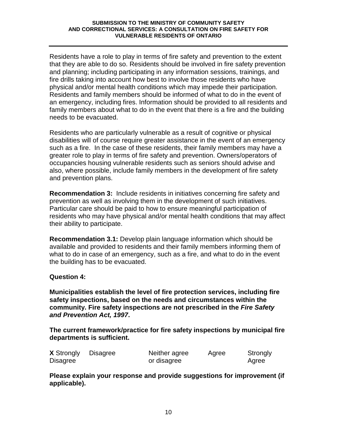Residents have a role to play in terms of fire safety and prevention to the extent that they are able to do so. Residents should be involved in fire safety prevention and planning; including participating in any information sessions, trainings, and fire drills taking into account how best to involve those residents who have physical and/or mental health conditions which may impede their participation. Residents and family members should be informed of what to do in the event of an emergency, including fires. Information should be provided to all residents and family members about what to do in the event that there is a fire and the building needs to be evacuated.

Residents who are particularly vulnerable as a result of cognitive or physical disabilities will of course require greater assistance in the event of an emergency such as a fire. In the case of these residents, their family members may have a greater role to play in terms of fire safety and prevention. Owners/operators of occupancies housing vulnerable residents such as seniors should advise and also, where possible, include family members in the development of fire safety and prevention plans.

**Recommendation 3:** Include residents in initiatives concerning fire safety and prevention as well as involving them in the development of such initiatives. Particular care should be paid to how to ensure meaningful participation of residents who may have physical and/or mental health conditions that may affect their ability to participate.

**Recommendation 3.1:** Develop plain language information which should be available and provided to residents and their family members informing them of what to do in case of an emergency, such as a fire, and what to do in the event the building has to be evacuated.

## **Question 4:**

**Municipalities establish the level of fire protection services, including fire safety inspections, based on the needs and circumstances within the community. Fire safety inspections are not prescribed in the Fire Safety and Prevention Act, 1997.** 

**The current framework/practice for fire safety inspections by municipal fire departments is sufficient.** 

| <b>X</b> Strongly | Disagree | Neither agree | Agree | Strongly |
|-------------------|----------|---------------|-------|----------|
| Disagree          |          | or disagree   |       | Agree    |

**Please explain your response and provide suggestions for improvement (if applicable).**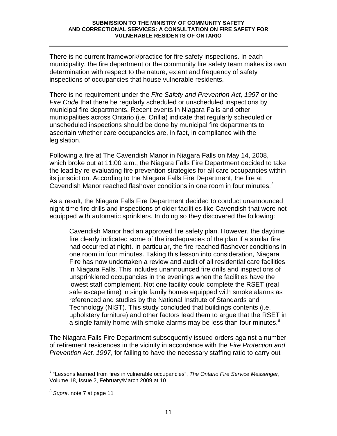There is no current framework/practice for fire safety inspections. In each municipality, the fire department or the community fire safety team makes its own determination with respect to the nature, extent and frequency of safety inspections of occupancies that house vulnerable residents.

There is no requirement under the Fire Safety and Prevention Act, 1997 or the Fire Code that there be regularly scheduled or unscheduled inspections by municipal fire departments. Recent events in Niagara Falls and other municipalities across Ontario (i.e. Orillia) indicate that regularly scheduled or unscheduled inspections should be done by municipal fire departments to ascertain whether care occupancies are, in fact, in compliance with the legislation.

Following a fire at The Cavendish Manor in Niagara Falls on May 14, 2008, which broke out at 11:00 a.m., the Niagara Falls Fire Department decided to take the lead by re-evaluating fire prevention strategies for all care occupancies within its jurisdiction. According to the Niagara Falls Fire Department, the fire at Cavendish Manor reached flashover conditions in one room in four minutes.<sup>7</sup>

As a result, the Niagara Falls Fire Department decided to conduct unannounced night-time fire drills and inspections of older facilities like Cavendish that were not equipped with automatic sprinklers. In doing so they discovered the following:

Cavendish Manor had an approved fire safety plan. However, the daytime fire clearly indicated some of the inadequacies of the plan if a similar fire had occurred at night. In particular, the fire reached flashover conditions in one room in four minutes. Taking this lesson into consideration, Niagara Fire has now undertaken a review and audit of all residential care facilities in Niagara Falls. This includes unannounced fire drills and inspections of unsprinklered occupancies in the evenings when the facilities have the lowest staff complement. Not one facility could complete the RSET (real safe escape time) in single family homes equipped with smoke alarms as referenced and studies by the National Institute of Standards and Technology (NIST). This study concluded that buildings contents (i.e. upholstery furniture) and other factors lead them to argue that the RSET in a single family home with smoke alarms may be less than four minutes. $8$ 

The Niagara Falls Fire Department subsequently issued orders against a number of retirement residences in the vicinity in accordance with the Fire Protection and Prevention Act, 1997, for failing to have the necessary staffing ratio to carry out

 $\overline{a}$ <sup>7</sup> "Lessons learned from fires in vulnerable occupancies", The Ontario Fire Service Messenger, Volume 18, Issue 2, February/March 2009 at 10

<sup>&</sup>lt;sup>8</sup> Supra, note 7 at page 11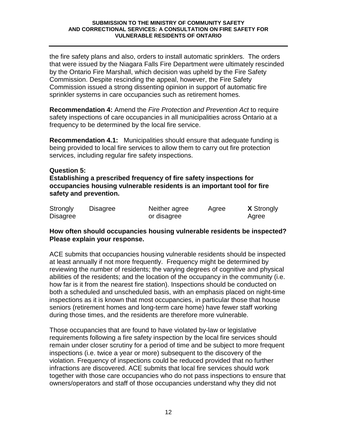the fire safety plans and also, orders to install automatic sprinklers. The orders that were issued by the Niagara Falls Fire Department were ultimately rescinded by the Ontario Fire Marshall, which decision was upheld by the Fire Safety Commission. Despite rescinding the appeal, however, the Fire Safety Commission issued a strong dissenting opinion in support of automatic fire sprinkler systems in care occupancies such as retirement homes.

**Recommendation 4:** Amend the Fire Protection and Prevention Act to require safety inspections of care occupancies in all municipalities across Ontario at a frequency to be determined by the local fire service.

**Recommendation 4.1:** Municipalities should ensure that adequate funding is being provided to local fire services to allow them to carry out fire protection services, including regular fire safety inspections.

## **Question 5:**

**Establishing a prescribed frequency of fire safety inspections for occupancies housing vulnerable residents is an important tool for fire safety and prevention.** 

| Strongly        | Disagree | Neither agree | Agree | <b>X</b> Strongly |
|-----------------|----------|---------------|-------|-------------------|
| <b>Disagree</b> |          | or disagree   |       | Agree             |

## **How often should occupancies housing vulnerable residents be inspected? Please explain your response.**

ACE submits that occupancies housing vulnerable residents should be inspected at least annually if not more frequently. Frequency might be determined by reviewing the number of residents; the varying degrees of cognitive and physical abilities of the residents; and the location of the occupancy in the community (i.e. how far is it from the nearest fire station). Inspections should be conducted on both a scheduled and unscheduled basis, with an emphasis placed on night-time inspections as it is known that most occupancies, in particular those that house seniors (retirement homes and long-term care home) have fewer staff working during those times, and the residents are therefore more vulnerable.

Those occupancies that are found to have violated by-law or legislative requirements following a fire safety inspection by the local fire services should remain under closer scrutiny for a period of time and be subject to more frequent inspections (i.e. twice a year or more) subsequent to the discovery of the violation. Frequency of inspections could be reduced provided that no further infractions are discovered. ACE submits that local fire services should work together with those care occupancies who do not pass inspections to ensure that owners/operators and staff of those occupancies understand why they did not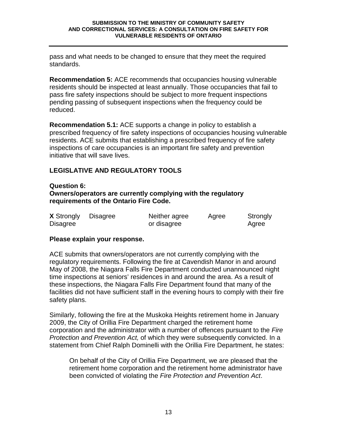pass and what needs to be changed to ensure that they meet the required standards.

**Recommendation 5:** ACE recommends that occupancies housing vulnerable residents should be inspected at least annually. Those occupancies that fail to pass fire safety inspections should be subject to more frequent inspections pending passing of subsequent inspections when the frequency could be reduced.

**Recommendation 5.1:** ACE supports a change in policy to establish a prescribed frequency of fire safety inspections of occupancies housing vulnerable residents. ACE submits that establishing a prescribed frequency of fire safety inspections of care occupancies is an important fire safety and prevention initiative that will save lives.

## **LEGISLATIVE AND REGULATORY TOOLS**

#### **Question 6:**

## **Owners/operators are currently complying with the regulatory requirements of the Ontario Fire Code.**

| <b>X</b> Strongly | <b>Disagree</b> | Neither agree | Agree | Strongly |
|-------------------|-----------------|---------------|-------|----------|
| Disagree          |                 | or disagree   |       | Agree    |

## **Please explain your response.**

ACE submits that owners/operators are not currently complying with the regulatory requirements. Following the fire at Cavendish Manor in and around May of 2008, the Niagara Falls Fire Department conducted unannounced night time inspections at seniors' residences in and around the area. As a result of these inspections, the Niagara Falls Fire Department found that many of the facilities did not have sufficient staff in the evening hours to comply with their fire safety plans.

Similarly, following the fire at the Muskoka Heights retirement home in January 2009, the City of Orillia Fire Department charged the retirement home corporation and the administrator with a number of offences pursuant to the Fire Protection and Prevention Act, of which they were subsequently convicted. In a statement from Chief Ralph Dominelli with the Orillia Fire Department, he states:

 On behalf of the City of Orillia Fire Department, we are pleased that the retirement home corporation and the retirement home administrator have been convicted of violating the Fire Protection and Prevention Act.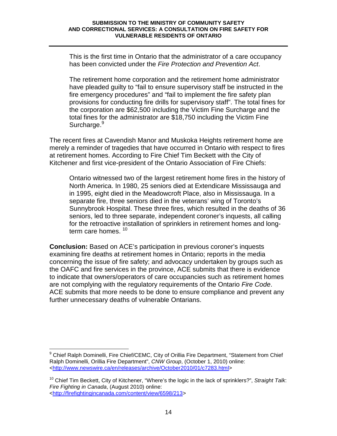This is the first time in Ontario that the administrator of a care occupancy has been convicted under the Fire Protection and Prevention Act.

The retirement home corporation and the retirement home administrator have pleaded guilty to "fail to ensure supervisory staff be instructed in the fire emergency procedures" and "fail to implement the fire safety plan provisions for conducting fire drills for supervisory staff". The total fines for the corporation are \$62,500 including the Victim Fine Surcharge and the total fines for the administrator are \$18,750 including the Victim Fine Surcharge.<sup>9</sup>

The recent fires at Cavendish Manor and Muskoka Heights retirement home are merely a reminder of tragedies that have occurred in Ontario with respect to fires at retirement homes. According to Fire Chief Tim Beckett with the City of Kitchener and first vice-president of the Ontario Association of Fire Chiefs:

Ontario witnessed two of the largest retirement home fires in the history of North America. In 1980, 25 seniors died at Extendicare Mississauga and in 1995, eight died in the Meadowcroft Place, also in Mississauga. In a separate fire, three seniors died in the veterans' wing of Toronto's Sunnybrook Hospital. These three fires, which resulted in the deaths of 36 seniors, led to three separate, independent coroner's inquests, all calling for the retroactive installation of sprinklers in retirement homes and longterm care homes. <sup>10</sup>

**Conclusion:** Based on ACE's participation in previous coroner's inquests examining fire deaths at retirement homes in Ontario; reports in the media concerning the issue of fire safety; and advocacy undertaken by groups such as the OAFC and fire services in the province, ACE submits that there is evidence to indicate that owners/operators of care occupancies such as retirement homes are not complying with the regulatory requirements of the Ontario Fire Code. ACE submits that more needs to be done to ensure compliance and prevent any further unnecessary deaths of vulnerable Ontarians.

 9 Chief Ralph Dominelli, Fire Chief/CEMC, City of Orillia Fire Department, "Statement from Chief Ralph Dominelli, Orillia Fire Department", CNW Group, (October 1, 2010) online: <http://www.newswire.ca/en/releases/archive/October2010/01/c7283.html>

 $10$  Chief Tim Beckett, City of Kitchener, "Where's the logic in the lack of sprinklers?", Straight Talk: Fire Fighting in Canada, (August 2010) online: <http://firefightingincanada.com/content/view/6598/213>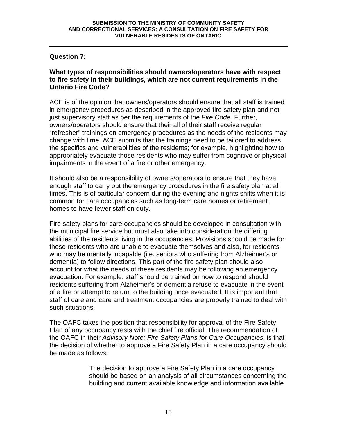## **Question 7:**

#### **What types of responsibilities should owners/operators have with respect to fire safety in their buildings, which are not current requirements in the Ontario Fire Code?**

ACE is of the opinion that owners/operators should ensure that all staff is trained in emergency procedures as described in the approved fire safety plan and not just supervisory staff as per the requirements of the Fire Code. Further, owners/operators should ensure that their all of their staff receive regular "refresher" trainings on emergency procedures as the needs of the residents may change with time. ACE submits that the trainings need to be tailored to address the specifics and vulnerabilities of the residents; for example, highlighting how to appropriately evacuate those residents who may suffer from cognitive or physical impairments in the event of a fire or other emergency.

It should also be a responsibility of owners/operators to ensure that they have enough staff to carry out the emergency procedures in the fire safety plan at all times. This is of particular concern during the evening and nights shifts when it is common for care occupancies such as long-term care homes or retirement homes to have fewer staff on duty.

Fire safety plans for care occupancies should be developed in consultation with the municipal fire service but must also take into consideration the differing abilities of the residents living in the occupancies. Provisions should be made for those residents who are unable to evacuate themselves and also, for residents who may be mentally incapable (i.e. seniors who suffering from Alzheimer's or dementia) to follow directions. This part of the fire safety plan should also account for what the needs of these residents may be following an emergency evacuation. For example, staff should be trained on how to respond should residents suffering from Alzheimer's or dementia refuse to evacuate in the event of a fire or attempt to return to the building once evacuated. It is important that staff of care and care and treatment occupancies are properly trained to deal with such situations.

The OAFC takes the position that responsibility for approval of the Fire Safety Plan of any occupancy rests with the chief fire official. The recommendation of the OAFC in their Advisory Note: Fire Safety Plans for Care Occupancies, is that the decision of whether to approve a Fire Safety Plan in a care occupancy should be made as follows:

> The decision to approve a Fire Safety Plan in a care occupancy should be based on an analysis of all circumstances concerning the building and current available knowledge and information available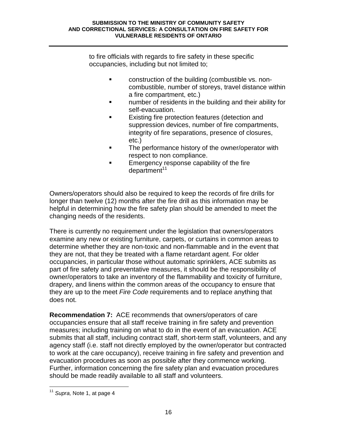to fire officials with regards to fire safety in these specific occupancies, including but not limited to;

- **Example 2** construction of the building (combustible vs. noncombustible, number of storeys, travel distance within a fire compartment, etc.)
- **Example 1 number of residents in the building and their ability for** self-evacuation.
- **Existing fire protection features (detection and** suppression devices, number of fire compartments, integrity of fire separations, presence of closures, etc.)
- **The performance history of the owner/operator with** respect to non compliance.
- **Emergency response capability of the fire**  $d$ epartment<sup>11</sup>

Owners/operators should also be required to keep the records of fire drills for longer than twelve (12) months after the fire drill as this information may be helpful in determining how the fire safety plan should be amended to meet the changing needs of the residents.

There is currently no requirement under the legislation that owners/operators examine any new or existing furniture, carpets, or curtains in common areas to determine whether they are non-toxic and non-flammable and in the event that they are not, that they be treated with a flame retardant agent. For older occupancies, in particular those without automatic sprinklers, ACE submits as part of fire safety and preventative measures, it should be the responsibility of owner/operators to take an inventory of the flammability and toxicity of furniture, drapery, and linens within the common areas of the occupancy to ensure that they are up to the meet Fire Code requirements and to replace anything that does not.

**Recommendation 7:** ACE recommends that owners/operators of care occupancies ensure that all staff receive training in fire safety and prevention measures; including training on what to do in the event of an evacuation. ACE submits that all staff, including contract staff, short-term staff, volunteers, and any agency staff (i.e. staff not directly employed by the owner/operator but contracted to work at the care occupancy), receive training in fire safety and prevention and evacuation procedures as soon as possible after they commence working. Further, information concerning the fire safety plan and evacuation procedures should be made readily available to all staff and volunteers.

 $\overline{a}$  $11$  Supra, Note 1, at page 4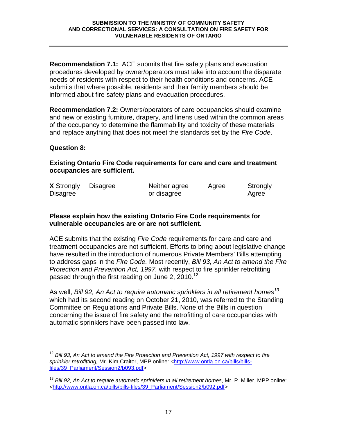**Recommendation 7.1:** ACE submits that fire safety plans and evacuation procedures developed by owner/operators must take into account the disparate needs of residents with respect to their health conditions and concerns. ACE submits that where possible, residents and their family members should be informed about fire safety plans and evacuation procedures.

**Recommendation 7.2:** Owners/operators of care occupancies should examine and new or existing furniture, drapery, and linens used within the common areas of the occupancy to determine the flammability and toxicity of these materials and replace anything that does not meet the standards set by the Fire Code.

## **Question 8:**

 $\overline{\phantom{a}}$ 

**Existing Ontario Fire Code requirements for care and care and treatment occupancies are sufficient.** 

| <b>X</b> Strongly | Disagree | Neither agree | Agree | Strongly |
|-------------------|----------|---------------|-------|----------|
| <b>Disagree</b>   |          | or disagree   |       | Agree    |

#### **Please explain how the existing Ontario Fire Code requirements for vulnerable occupancies are or are not sufficient.**

ACE submits that the existing Fire Code requirements for care and care and treatment occupancies are not sufficient. Efforts to bring about legislative change have resulted in the introduction of numerous Private Members' Bills attempting to address gaps in the Fire Code. Most recently, Bill 93, An Act to amend the Fire Protection and Prevention Act, 1997, with respect to fire sprinkler retrofitting passed through the first reading on June 2, 2010.<sup>12</sup>

As well, Bill 92, An Act to require automatic sprinklers in all retirement homes<sup>13</sup> which had its second reading on October 21, 2010, was referred to the Standing Committee on Regulations and Private Bills. None of the Bills in question concerning the issue of fire safety and the retrofitting of care occupancies with automatic sprinklers have been passed into law.

 $12$  Bill 93, An Act to amend the Fire Protection and Prevention Act, 1997 with respect to fire sprinkler retrofitting, Mr. Kim Craitor, MPP online: <http://www.ontla.on.ca/bills/billsfiles/39\_Parliament/Session2/b093.pdf>

 $13$  Bill 92, An Act to require automatic sprinklers in all retirement homes, Mr. P. Miller, MPP online: <http://www.ontla.on.ca/bills/bills-files/39\_Parliament/Session2/b092.pdf>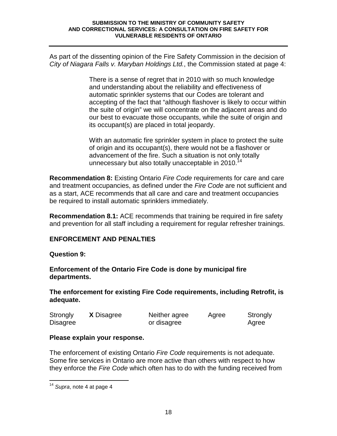As part of the dissenting opinion of the Fire Safety Commission in the decision of City of Niagara Falls v. Maryban Holdings Ltd., the Commission stated at page 4:

> There is a sense of regret that in 2010 with so much knowledge and understanding about the reliability and effectiveness of automatic sprinkler systems that our Codes are tolerant and accepting of the fact that "although flashover is likely to occur within the suite of origin" we will concentrate on the adjacent areas and do our best to evacuate those occupants, while the suite of origin and its occupant(s) are placed in total jeopardy.

With an automatic fire sprinkler system in place to protect the suite of origin and its occupant(s), there would not be a flashover or advancement of the fire. Such a situation is not only totally unnecessary but also totally unacceptable in  $2010^{14}$ 

**Recommendation 8:** Existing Ontario Fire Code requirements for care and care and treatment occupancies, as defined under the Fire Code are not sufficient and as a start, ACE recommends that all care and care and treatment occupancies be required to install automatic sprinklers immediately.

**Recommendation 8.1:** ACE recommends that training be required in fire safety and prevention for all staff including a requirement for regular refresher trainings.

## **ENFORCEMENT AND PENALTIES**

## **Question 9:**

**Enforcement of the Ontario Fire Code is done by municipal fire departments.** 

**The enforcement for existing Fire Code requirements, including Retrofit, is adequate.** 

| Strongly | <b>X</b> Disagree | Neither agree | Agree | Strongly |
|----------|-------------------|---------------|-------|----------|
| Disagree |                   | or disagree   |       | Agree    |

## **Please explain your response.**

The enforcement of existing Ontario Fire Code requirements is not adequate. Some fire services in Ontario are more active than others with respect to how they enforce the Fire Code which often has to do with the funding received from

 $\overline{a}$  $14$  Supra, note 4 at page 4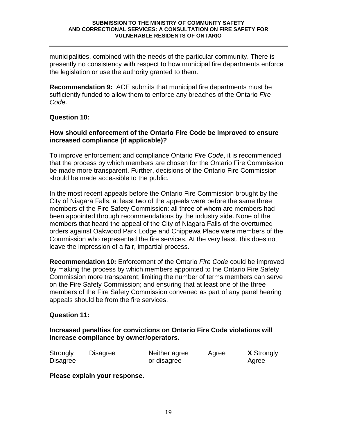municipalities, combined with the needs of the particular community. There is presently no consistency with respect to how municipal fire departments enforce the legislation or use the authority granted to them.

**Recommendation 9:** ACE submits that municipal fire departments must be sufficiently funded to allow them to enforce any breaches of the Ontario Fire Code.

## **Question 10:**

## **How should enforcement of the Ontario Fire Code be improved to ensure increased compliance (if applicable)?**

To improve enforcement and compliance Ontario *Fire Code*, it is recommended that the process by which members are chosen for the Ontario Fire Commission be made more transparent. Further, decisions of the Ontario Fire Commission should be made accessible to the public.

In the most recent appeals before the Ontario Fire Commission brought by the City of Niagara Falls, at least two of the appeals were before the same three members of the Fire Safety Commission: all three of whom are members had been appointed through recommendations by the industry side. None of the members that heard the appeal of the City of Niagara Falls of the overturned orders against Oakwood Park Lodge and Chippewa Place were members of the Commission who represented the fire services. At the very least, this does not leave the impression of a fair, impartial process.

**Recommendation 10:** Enforcement of the Ontario Fire Code could be improved by making the process by which members appointed to the Ontario Fire Safety Commission more transparent; limiting the number of terms members can serve on the Fire Safety Commission; and ensuring that at least one of the three members of the Fire Safety Commission convened as part of any panel hearing appeals should be from the fire services.

## **Question 11:**

**Increased penalties for convictions on Ontario Fire Code violations will increase compliance by owner/operators.** 

| Strongly        | Disagree | Neither agree | Agree | <b>X</b> Strongly |
|-----------------|----------|---------------|-------|-------------------|
| <b>Disagree</b> |          | or disagree   |       | Agree             |

**Please explain your response.**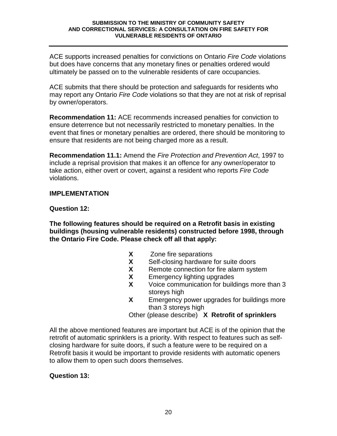ACE supports increased penalties for convictions on Ontario Fire Code violations but does have concerns that any monetary fines or penalties ordered would ultimately be passed on to the vulnerable residents of care occupancies.

ACE submits that there should be protection and safeguards for residents who may report any Ontario Fire Code violations so that they are not at risk of reprisal by owner/operators.

**Recommendation 11:** ACE recommends increased penalties for conviction to ensure deterrence but not necessarily restricted to monetary penalties. In the event that fines or monetary penalties are ordered, there should be monitoring to ensure that residents are not being charged more as a result.

**Recommendation 11.1:** Amend the Fire Protection and Prevention Act, 1997 to include a reprisal provision that makes it an offence for any owner/operator to take action, either overt or covert, against a resident who reports Fire Code violations.

## **IMPLEMENTATION**

## **Question 12:**

**The following features should be required on a Retrofit basis in existing buildings (housing vulnerable residents) constructed before 1998, through the Ontario Fire Code. Please check off all that apply:** 

- **X** Zone fire separations
- **X** Self-closing hardware for suite doors
- **X** Remote connection for fire alarm system
- **X** Emergency lighting upgrades
- **X** Voice communication for buildings more than 3 storeys high
- **X** Emergency power upgrades for buildings more than 3 storeys high

Other (please describe) **X Retrofit of sprinklers**

All the above mentioned features are important but ACE is of the opinion that the retrofit of automatic sprinklers is a priority. With respect to features such as selfclosing hardware for suite doors, if such a feature were to be required on a Retrofit basis it would be important to provide residents with automatic openers to allow them to open such doors themselves.

## **Question 13:**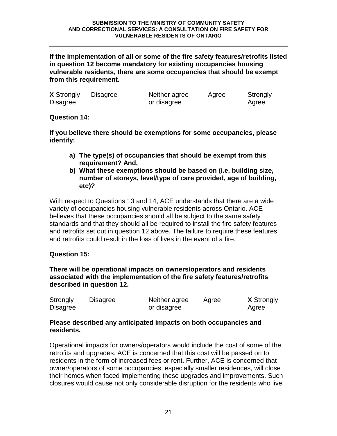**If the implementation of all or some of the fire safety features/retrofits listed in question 12 become mandatory for existing occupancies housing vulnerable residents, there are some occupancies that should be exempt from this requirement.** 

| <b>X</b> Strongly | <b>Disagree</b> | Neither agree | Agree | Strongly |
|-------------------|-----------------|---------------|-------|----------|
| Disagree          |                 | or disagree   |       | Agree    |

**Question 14:** 

**If you believe there should be exemptions for some occupancies, please identify:** 

- **a) The type(s) of occupancies that should be exempt from this requirement? And,**
- **b) What these exemptions should be based on (i.e. building size, number of storeys, level/type of care provided, age of building, etc)?**

With respect to Questions 13 and 14, ACE understands that there are a wide variety of occupancies housing vulnerable residents across Ontario. ACE believes that these occupancies should all be subject to the same safety standards and that they should all be required to install the fire safety features and retrofits set out in question 12 above. The failure to require these features and retrofits could result in the loss of lives in the event of a fire.

## **Question 15:**

**There will be operational impacts on owners/operators and residents associated with the implementation of the fire safety features/retrofits described in question 12.** 

| Strongly        | Disagree | Neither agree | Agree | <b>X</b> Strongly |
|-----------------|----------|---------------|-------|-------------------|
| <b>Disagree</b> |          | or disagree   |       | Agree             |

## **Please described any anticipated impacts on both occupancies and residents.**

Operational impacts for owners/operators would include the cost of some of the retrofits and upgrades. ACE is concerned that this cost will be passed on to residents in the form of increased fees or rent. Further, ACE is concerned that owner/operators of some occupancies, especially smaller residences, will close their homes when faced implementing these upgrades and improvements. Such closures would cause not only considerable disruption for the residents who live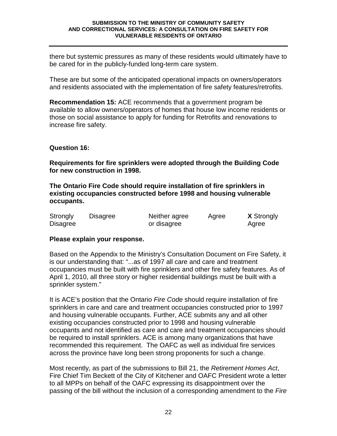there but systemic pressures as many of these residents would ultimately have to be cared for in the publicly-funded long-term care system.

These are but some of the anticipated operational impacts on owners/operators and residents associated with the implementation of fire safety features/retrofits.

**Recommendation 15:** ACE recommends that a government program be available to allow owners/operators of homes that house low income residents or those on social assistance to apply for funding for Retrofits and renovations to increase fire safety.

## **Question 16:**

**Requirements for fire sprinklers were adopted through the Building Code for new construction in 1998.** 

**The Ontario Fire Code should require installation of fire sprinklers in existing occupancies constructed before 1998 and housing vulnerable occupants.** 

| Strongly        | Disagree | Neither agree | Agree | <b>X</b> Strongly |
|-----------------|----------|---------------|-------|-------------------|
| <b>Disagree</b> |          | or disagree   |       | Agree             |

## **Please explain your response.**

Based on the Appendix to the Ministry's Consultation Document on Fire Safety, it is our understanding that: "...as of 1997 all care and care and treatment occupancies must be built with fire sprinklers and other fire safety features. As of April 1, 2010, all three story or higher residential buildings must be built with a sprinkler system."

It is ACE's position that the Ontario Fire Code should require installation of fire sprinklers in care and care and treatment occupancies constructed prior to 1997 and housing vulnerable occupants. Further, ACE submits any and all other existing occupancies constructed prior to 1998 and housing vulnerable occupants and not identified as care and care and treatment occupancies should be required to install sprinklers. ACE is among many organizations that have recommended this requirement. The OAFC as well as individual fire services across the province have long been strong proponents for such a change.

Most recently, as part of the submissions to Bill 21, the Retirement Homes Act, Fire Chief Tim Beckett of the City of Kitchener and OAFC President wrote a letter to all MPPs on behalf of the OAFC expressing its disappointment over the passing of the bill without the inclusion of a corresponding amendment to the Fire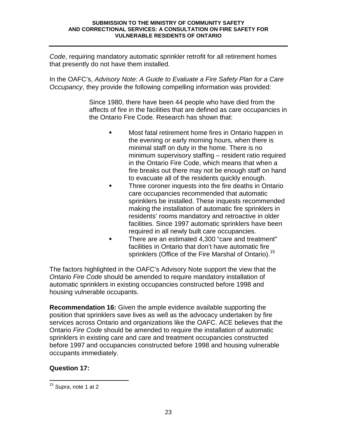Code, requiring mandatory automatic sprinkler retrofit for all retirement homes that presently do not have them installed.

In the OAFC's, Advisory Note: A Guide to Evaluate a Fire Safety Plan for a Care Occupancy, they provide the following compelling information was provided:

> Since 1980, there have been 44 people who have died from the affects of fire in the facilities that are defined as care occupancies in the Ontario Fire Code. Research has shown that:

- **Most fatal retirement home fires in Ontario happen in** the evening or early morning hours, when there is minimal staff on duty in the home. There is no minimum supervisory staffing – resident ratio required in the Ontario Fire Code, which means that when a fire breaks out there may not be enough staff on hand to evacuate all of the residents quickly enough.
- **Three coroner inquests into the fire deaths in Ontario** care occupancies recommended that automatic sprinklers be installed. These inquests recommended making the installation of automatic fire sprinklers in residents' rooms mandatory and retroactive in older facilities. Since 1997 automatic sprinklers have been required in all newly built care occupancies.
- There are an estimated 4,300 "care and treatment" facilities in Ontario that don't have automatic fire sprinklers (Office of the Fire Marshal of Ontario).<sup>15</sup>

The factors highlighted in the OAFC's Advisory Note support the view that the Ontario Fire Code should be amended to require mandatory installation of automatic sprinklers in existing occupancies constructed before 1998 and housing vulnerable occupants.

**Recommendation 16:** Given the ample evidence available supporting the position that sprinklers save lives as well as the advocacy undertaken by fire services across Ontario and organizations like the OAFC. ACE believes that the Ontario Fire Code should be amended to require the installation of automatic sprinklers in existing care and care and treatment occupancies constructed before 1997 and occupancies constructed before 1998 and housing vulnerable occupants immediately.

## **Question 17:**

 $\overline{a}$  $15$  Supra, note 1 at 2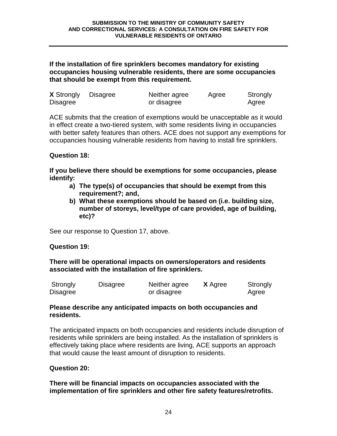## **If the installation of fire sprinklers becomes mandatory for existing occupancies housing vulnerable residents, there are some occupancies that should be exempt from this requirement.**

| <b>X</b> Strongly | <b>Disagree</b> | Neither agree | Agree | Strongly |
|-------------------|-----------------|---------------|-------|----------|
| <b>Disagree</b>   |                 | or disagree   |       | Agree    |

ACE submits that the creation of exemptions would be unacceptable as it would in effect create a two-tiered system, with some residents living in occupancies with better safety features than others. ACE does not support any exemptions for occupancies housing vulnerable residents from having to install fire sprinklers.

## **Question 18:**

**If you believe there should be exemptions for some occupancies, please identify:** 

- **a) The type(s) of occupancies that should be exempt from this requirement?; and,**
- **b) What these exemptions should be based on (i.e. building size, number of storeys, level/type of care provided, age of building, etc)?**

See our response to Question 17, above.

## **Question 19:**

**There will be operational impacts on owners/operators and residents associated with the installation of fire sprinklers.** 

| Strongly | Disagree | Neither agree | <b>X</b> Agree | Strongly |
|----------|----------|---------------|----------------|----------|
| Disagree |          | or disagree   |                | Agree    |

#### **Please describe any anticipated impacts on both occupancies and residents.**

The anticipated impacts on both occupancies and residents include disruption of residents while sprinklers are being installed. As the installation of sprinklers is effectively taking place where residents are living, ACE supports an approach that would cause the least amount of disruption to residents.

## **Question 20:**

**There will be financial impacts on occupancies associated with the implementation of fire sprinklers and other fire safety features/retrofits.**